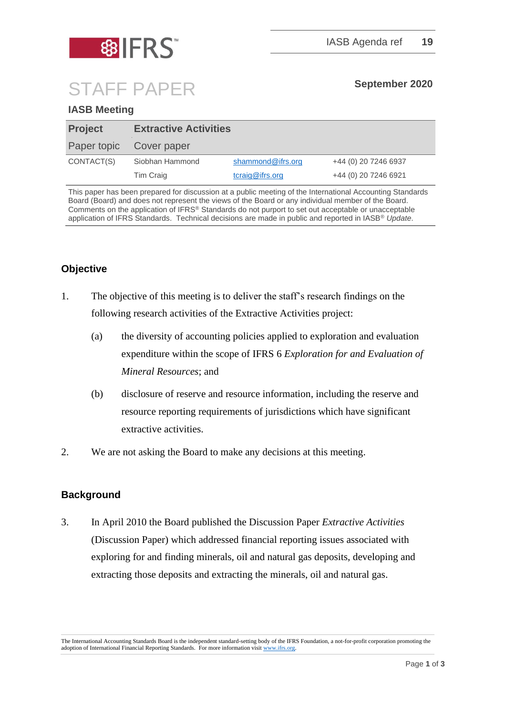

# STAFF PAPER **September <sup>2020</sup>**

## **IASB Meeting**

| <b>Project</b> | <b>Extractive Activities</b> |                   |                      |
|----------------|------------------------------|-------------------|----------------------|
| Paper topic    | Cover paper                  |                   |                      |
| CONTACT(S)     | Siobhan Hammond              | shammond@ifrs.org | +44 (0) 20 7246 6937 |
|                | Tim Craig                    | tcraig@ifrs.org   | +44 (0) 20 7246 6921 |

This paper has been prepared for discussion at a public meeting of the International Accounting Standards Board (Board) and does not represent the views of the Board or any individual member of the Board. Comments on the application of IFRS® Standards do not purport to set out acceptable or unacceptable application of IFRS Standards. Technical decisions are made in public and reported in IASB® *Update*.

# **Objective**

- 1. The objective of this meeting is to deliver the staff's research findings on the following research activities of the Extractive Activities project:
	- (a) the diversity of accounting policies applied to exploration and evaluation expenditure within the scope of IFRS 6 *Exploration for and Evaluation of Mineral Resources*; and
	- (b) disclosure of reserve and resource information, including the reserve and resource reporting requirements of jurisdictions which have significant extractive activities.
- 2. We are not asking the Board to make any decisions at this meeting.

### **Background**

3. In April 2010 the Board published the Discussion Paper *Extractive Activities* (Discussion Paper) which addressed financial reporting issues associated with exploring for and finding minerals, oil and natural gas deposits, developing and extracting those deposits and extracting the minerals, oil and natural gas.

The International Accounting Standards Board is the independent standard-setting body of the IFRS Foundation, a not-for-profit corporation promoting the adoption of International Financial Reporting Standards. For more information visi[t www.ifrs.org.](http://www.ifrs.org/)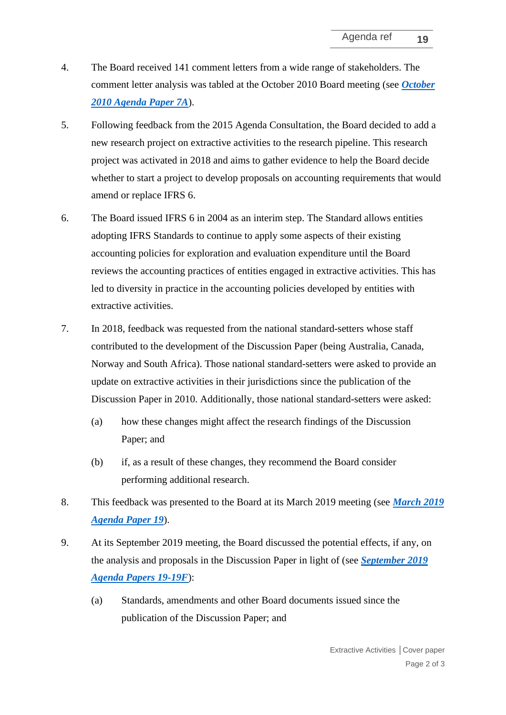- 4. The Board received 141 comment letters from a wide range of stakeholders. The comment letter analysis was tabled at the October 2010 Board meeting (see *[October](https://cdn.ifrs.org/-/media/project/extractive-activities/ap7a-comment-letter-summary.pdf)  [2010 Agenda Paper 7A](https://cdn.ifrs.org/-/media/project/extractive-activities/ap7a-comment-letter-summary.pdf)*).
- 5. Following feedback from the 2015 Agenda Consultation, the Board decided to add a new research project on extractive activities to the research pipeline. This research project was activated in 2018 and aims to gather evidence to help the Board decide whether to start a project to develop proposals on accounting requirements that would amend or replace IFRS 6.
- 6. The Board issued IFRS 6 in 2004 as an interim step. The Standard allows entities adopting IFRS Standards to continue to apply some aspects of their existing accounting policies for exploration and evaluation expenditure until the Board reviews the accounting practices of entities engaged in extractive activities. This has led to diversity in practice in the accounting policies developed by entities with extractive activities.
- 7. In 2018, feedback was requested from the national standard-setters whose staff contributed to the development of the Discussion Paper (being Australia, Canada, Norway and South Africa). Those national standard-setters were asked to provide an update on extractive activities in their jurisdictions since the publication of the Discussion Paper in 2010. Additionally, those national standard-setters were asked:
	- (a) how these changes might affect the research findings of the Discussion Paper; and
	- (b) if, as a result of these changes, they recommend the Board consider performing additional research.
- 8. This feedback was presented to the Board at its March 2019 meeting (see *[March 2019](https://cdn.ifrs.org/-/media/feature/meetings/2019/march/iasb/ap19-extractive-activities.pdf)  [Agenda Paper 19](https://cdn.ifrs.org/-/media/feature/meetings/2019/march/iasb/ap19-extractive-activities.pdf)*).
- 9. At its September 2019 meeting, the Board discussed the potential effects, if any, on the analysis and proposals in the Discussion Paper in light of (see *[September 2019](https://www.ifrs.org/news-and-events/calendar/2019/september/international-accounting-standards-board/?f1=2019&f2=September&f3=) [Agenda Papers 19-19F](https://www.ifrs.org/news-and-events/calendar/2019/september/international-accounting-standards-board/?f1=2019&f2=September&f3=)*):
	- (a) Standards, amendments and other Board documents issued since the publication of the Discussion Paper; and